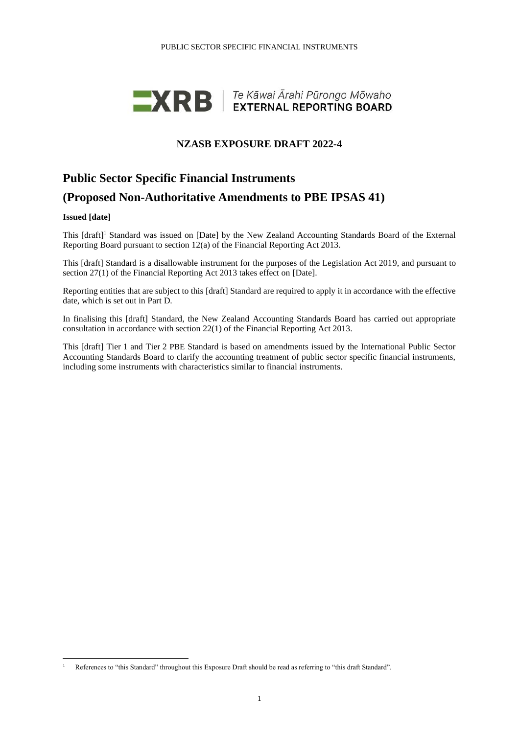

## **NZASB EXPOSURE DRAFT 2022-4**

# **Public Sector Specific Financial Instruments (Proposed Non-Authoritative Amendments to PBE IPSAS 41)**

### **Issued [date]**

This [draft]<sup>1</sup> Standard was issued on [Date] by the New Zealand Accounting Standards Board of the External Reporting Board pursuant to section 12(a) of the Financial Reporting Act 2013.

This [draft] Standard is a disallowable instrument for the purposes of the Legislation Act 2019, and pursuant to section 27(1) of the Financial Reporting Act 2013 takes effect on [Date].

Reporting entities that are subject to this [draft] Standard are required to apply it in accordance with the effective date, which is set out in Part D.

In finalising this [draft] Standard, the New Zealand Accounting Standards Board has carried out appropriate consultation in accordance with section 22(1) of the Financial Reporting Act 2013.

This [draft] Tier 1 and Tier 2 PBE Standard is based on amendments issued by the International Public Sector Accounting Standards Board to clarify the accounting treatment of public sector specific financial instruments, including some instruments with characteristics similar to financial instruments.

<sup>&</sup>lt;sup>1</sup> References to "this Standard" throughout this Exposure Draft should be read as referring to "this draft Standard".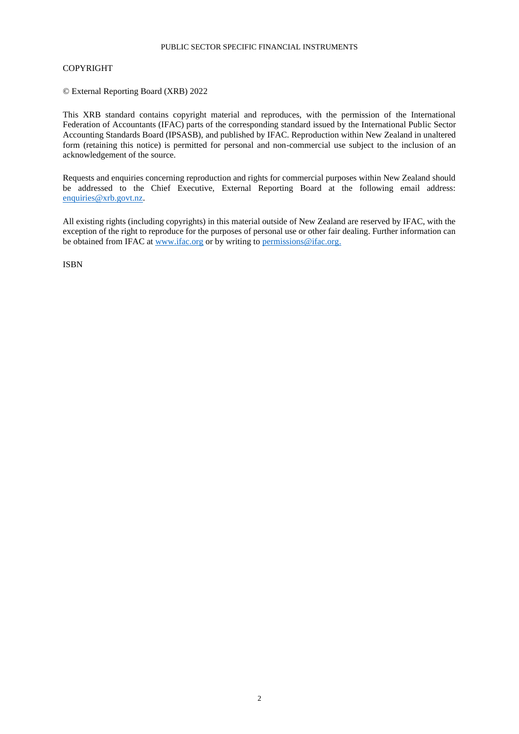### PUBLIC SECTOR SPECIFIC FINANCIAL INSTRUMENTS

### COPYRIGHT

© External Reporting Board (XRB) 2022

This XRB standard contains copyright material and reproduces, with the permission of the International Federation of Accountants (IFAC) parts of the corresponding standard issued by the International Public Sector Accounting Standards Board (IPSASB), and published by IFAC. Reproduction within New Zealand in unaltered form (retaining this notice) is permitted for personal and non-commercial use subject to the inclusion of an acknowledgement of the source.

Requests and enquiries concerning reproduction and rights for commercial purposes within New Zealand should be addressed to the Chief Executive, External Reporting Board at the following email address: [enquiries@xrb.govt.nz.](mailto:enquiries@xrb.govt.nz)

All existing rights (including copyrights) in this material outside of New Zealand are reserved by IFAC, with the exception of the right to reproduce for the purposes of personal use or other fair dealing. Further information can be obtained from IFAC at [www.ifac.org](http://www.ifac.org/) or by writing to [permissions@ifac.org.](mailto:permissions@ifac.org)

ISBN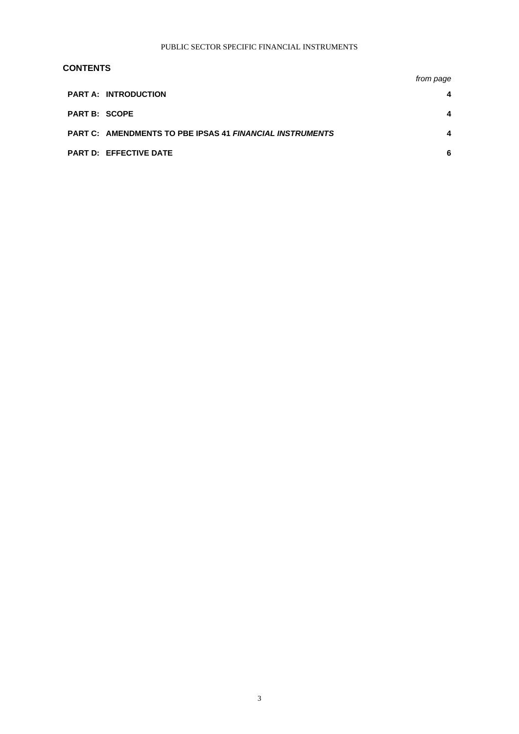### **CONTENTS**

|                      |                                                          | from page |
|----------------------|----------------------------------------------------------|-----------|
|                      | <b>PART A: INTRODUCTION</b>                              | 4         |
| <b>PART B: SCOPE</b> |                                                          | 4         |
|                      | PART C: AMENDMENTS TO PBE IPSAS 41 FINANCIAL INSTRUMENTS | 4         |
|                      | <b>PART D: EFFECTIVE DATE</b>                            | 6         |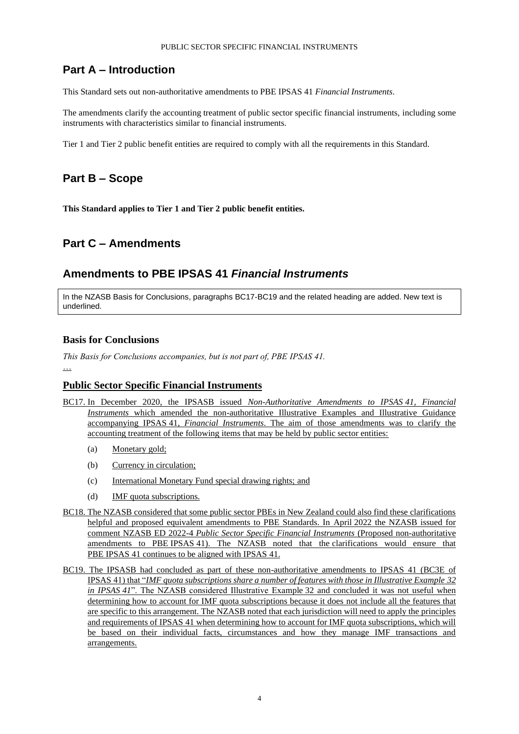## **Part A – Introduction**

This Standard sets out non-authoritative amendments to PBE IPSAS 41 *Financial Instruments*.

The amendments clarify the accounting treatment of public sector specific financial instruments, including some instruments with characteristics similar to financial instruments.

Tier 1 and Tier 2 public benefit entities are required to comply with all the requirements in this Standard.

## **Part B – Scope**

**This Standard applies to Tier 1 and Tier 2 public benefit entities.**

## **Part C – Amendments**

## **Amendments to PBE IPSAS 41** *Financial Instruments*

In the NZASB Basis for Conclusions, paragraphs BC17-BC19 and the related heading are added. New text is underlined.

### **Basis for Conclusions**

*This Basis for Conclusions accompanies, but is not part of, PBE IPSAS 41.* …

### **Public Sector Specific Financial Instruments**

- BC17. In December 2020, the IPSASB issued *Non-Authoritative Amendments to IPSAS 41, Financial Instruments* which amended the non-authoritative Illustrative Examples and Illustrative Guidance accompanying IPSAS 41, *Financial Instruments*. The aim of those amendments was to clarify the accounting treatment of the following items that may be held by public sector entities:
	- (a) Monetary gold;
	- (b) Currency in circulation;
	- (c) International Monetary Fund special drawing rights; and
	- (d) IMF quota subscriptions.
- BC18. The NZASB considered that some public sector PBEs in New Zealand could also find these clarifications helpful and proposed equivalent amendments to PBE Standards. In April 2022 the NZASB issued for comment NZASB ED 2022-4 *Public Sector Specific Financial Instruments* (Proposed non-authoritative amendments to PBE IPSAS 41). The NZASB noted that the clarifications would ensure that PBE IPSAS 41 continues to be aligned with IPSAS 41.
- BC19. The IPSASB had concluded as part of these non-authoritative amendments to IPSAS 41 (BC3E of IPSAS 41) that "*IMF quota subscriptions share a number of features with those in Illustrative Example 32 in IPSAS 41*". The NZASB considered Illustrative Example 32 and concluded it was not useful when determining how to account for IMF quota subscriptions because it does not include all the features that are specific to this arrangement. The NZASB noted that each jurisdiction will need to apply the principles and requirements of IPSAS 41 when determining how to account for IMF quota subscriptions, which will be based on their individual facts, circumstances and how they manage IMF transactions and arrangements.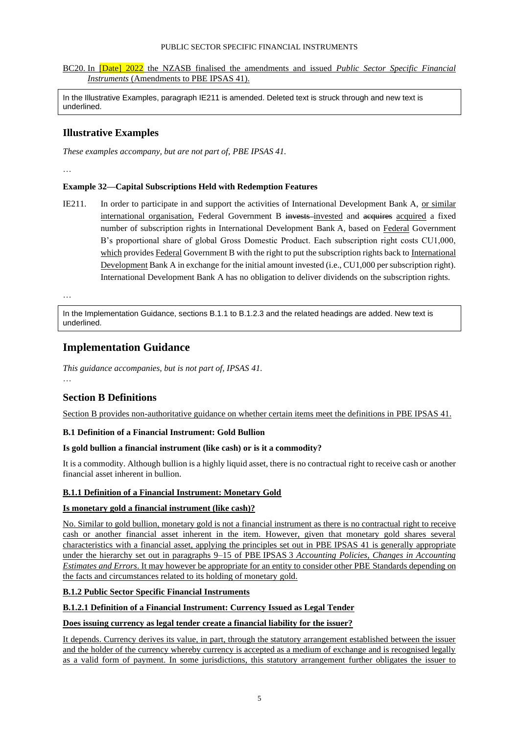### PUBLIC SECTOR SPECIFIC FINANCIAL INSTRUMENTS

### BC20. In [Date] 2022 the NZASB finalised the amendments and issued *Public Sector Specific Financial Instruments* (Amendments to PBE IPSAS 41).

In the Illustrative Examples, paragraph IE211 is amended. Deleted text is struck through and new text is underlined.

### **Illustrative Examples**

*These examples accompany, but are not part of, PBE IPSAS 41.*

…

### **Example 32—Capital Subscriptions Held with Redemption Features**

IE211. In order to participate in and support the activities of International Development Bank A, or similar international organisation, Federal Government B invests invested and acquires acquired a fixed number of subscription rights in International Development Bank A, based on Federal Government B's proportional share of global Gross Domestic Product. Each subscription right costs CU1,000, which provides Federal Government B with the right to put the subscription rights back to International Development Bank A in exchange for the initial amount invested (i.e., CU1,000 per subscription right). International Development Bank A has no obligation to deliver dividends on the subscription rights.

…

In the Implementation Guidance, sections B.1.1 to B.1.2.3 and the related headings are added. New text is underlined.

## **Implementation Guidance**

*This guidance accompanies, but is not part of, IPSAS 41.* …

# **Section B Definitions**

Section B provides non-authoritative guidance on whether certain items meet the definitions in PBE IPSAS 41.

### **B.1 Definition of a Financial Instrument: Gold Bullion**

### **Is gold bullion a financial instrument (like cash) or is it a commodity?**

It is a commodity. Although bullion is a highly liquid asset, there is no contractual right to receive cash or another financial asset inherent in bullion.

### **B.1.1 Definition of a Financial Instrument: Monetary Gold**

### **Is monetary gold a financial instrument (like cash)?**

No. Similar to gold bullion, monetary gold is not a financial instrument as there is no contractual right to receive cash or another financial asset inherent in the item. However, given that monetary gold shares several characteristics with a financial asset, applying the principles set out in PBE IPSAS 41 is generally appropriate under the hierarchy set out in paragraphs 9–15 of PBE IPSAS 3 *Accounting Policies, Changes in Accounting Estimates and Errors*. It may however be appropriate for an entity to consider other PBE Standards depending on the facts and circumstances related to its holding of monetary gold.

### **B.1.2 Public Sector Specific Financial Instruments**

### **B.1.2.1 Definition of a Financial Instrument: Currency Issued as Legal Tender**

### **Does issuing currency as legal tender create a financial liability for the issuer?**

It depends. Currency derives its value, in part, through the statutory arrangement established between the issuer and the holder of the currency whereby currency is accepted as a medium of exchange and is recognised legally as a valid form of payment. In some jurisdictions, this statutory arrangement further obligates the issuer to